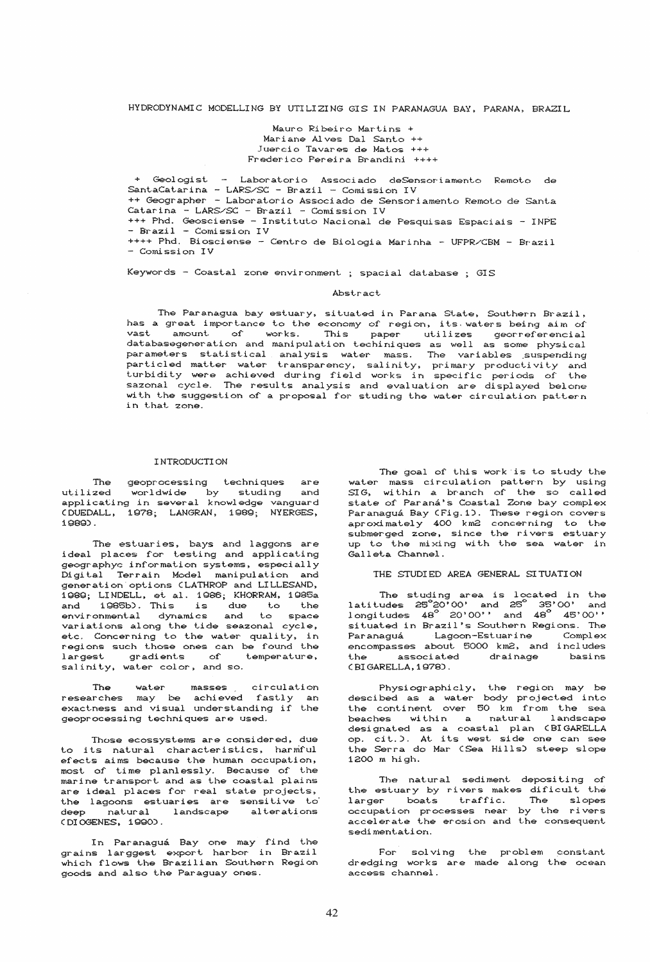### HYDRODYNAMIC MODELLING BY UTILIZING GIS IN PARANAGUA BAY, PARANA, BRAZIL

Mauro Ribeiro Martins + Mariane Alves Dal Santo ++<br>Juercio Tavares de Matos +++ Frederico Pereira Brandini ++++

+ Geologist - Laboratorio Associado deSensoriamento Remoto de SantaCatarina - LARS/SC - Brazil - Comission IV ++ Geographer - Laboratorio Associado de Sensoriamento Remoto de Santa  $\text{Catarina}$  -  $\text{LARS} / \text{SC}$  -  $\text{Brazil}$  -  $\text{Comission IV}$ +++ Phd. Geosciense - Instituto Nacional de Pesquisas Espaciais - INPE - Brazil - Comission IV ++++ Phd. Biosciense - Centro de Biologia Marinha - UFPR/CBM - Brazil - Comission IV

Keywords - Coastal zone environment ; spacial database ; GIS

#### Abstract

The Paranagua bay estuary, situated in Parana State, Southern Brazil, Ine Paranagua bay estuary, situated in Parana State, Southern Brazil,<br>has a great importance to the economy of region, its waters being aim of<br>vast amount of works. This paper utilizes georreferencial<br>databasegeneration an with the suggestion of a proposal for studing the water circulation pattern in that zone.

### INTRODUCTION

The geoprocessing techniques are<br>utilized worldwide by studing and<br>applicating in several knowledge vanguard<br>CDUEDALL, 1978; LANGRAN, 1989; NYERGES,  $1989$ .

The estuaries, bays and laggons are ideal places for testing and applicating geographyc information systems, especially Digital Terrain Model manipulation and generation options (LATHROP and LILLESAND, 1989; LINDELL, et al. 1986; KHORRAM, 1985a and 1985b). This is due to the<br>environmental dynamics and to space<br>variations along the tide seazonal cycle, etc. Concerning to the water quality, in regions such those ones can be found the largest gradients of temperature, salinity, water color, and so.

The water masses circulation<br>researches may be achieved fastly an<br>exactness and visual understanding if the geoprocessing techniques are used.

Those ecossystems are considered, due to its natural characteristics, harmful efects aims because the human occupation, most of time planlessly. Because of the marine transport and as the coastal plains are ideal places for real state projects, the lagoons estuaries are sensitive to deep natural landscape alterations (DIOGENES, 1990).

In Paranaguá Bay one may find the<br>grains larggest export harbor in Brazil<br>which flows the Brazilian Southern Region goods and also the Paraguay ones.

The goal of this work is to study the water mass circulation pattern by using SIG, within a branch of the so called state of Paraná's Coastal Zone bay complex Paranaguá Bay (Fig.1). These region covers<br>aproximately 400 km2 concerning to the submerged zone, since the rivers estuary up to the mixing with the sea water in Galleta Channel.

# THE STUDIED AREA GENERAL SITUATION

The studing area is located in the latitudes  $25^{\circ}20'00'$  and  $25^{\circ}35'00'$  and longitudes  $48^{\circ}20'00'$  and  $48^{\circ}45'00'$ situated in Brazil's Southern Regions. The Paranaguá Lagoon-Estuarine Complex<br>encompasses about 5000 km2, and includes associated drainage the basins (BIGARELLA, 1978).

Physiographicly, the region may be<br>descibed as a water body projected into the continent over 50 km from the sea beaches within a natural landscape designated as a coastal plan (BIGARELLA<br>op. cit.). At its west side one can see<br>the Serra do Mar (Sea Hills) steep slope 1200 m high.

The natural sediment depositing of the estuary by rivers makes dificult the<br>larger boats traffic. The slopes occupation processes near by the rivers<br>accelerate the erosion and the consequent sedimentation.

For solving the problem constant<br>dredging works are made along the ocean access channel.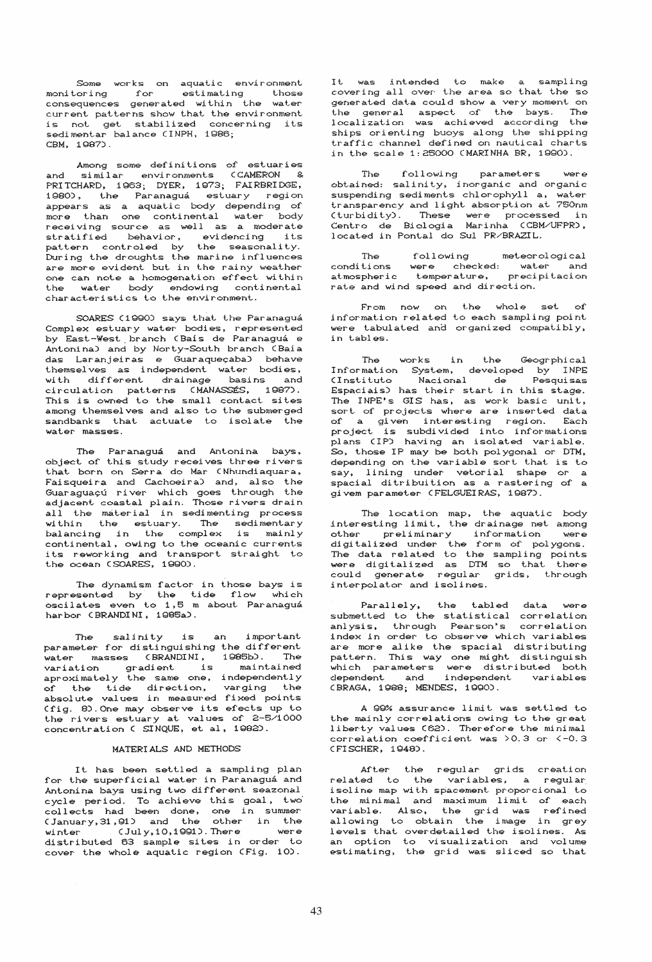Some works on aquatic environment monitoring for estimating those<br>consequences generated within the water current patterns show that the environment is not get stabilized concerning its<br>sedimentar balance (INPH, 1986; CBM, 1987).

Among some definitions of estuaries and similar environments CCAMERON &<br>PRITCHARD, 1963; DYER, 1973; FAIRBRIDGE, 1980), the Paranaguá estuary region<br>appears as a aquatic body depending of appears as a aquacular body depending on<br>more than one continental water body<br>receiving source as well as a moderate<br>stratified behavior, evidencing its<br>pattern controled by the seasonality.<br>During the droughts the marine are more evident but in the rainy weather one can note a homogenation effect within<br>the water body endowing continental characteristics to the environment.

SOARES (1990) says that the Paranaguá Complex estuary water bodies, represented by East-West branch (Bais de Paranaguá e Antonina) and by Norty-South branch (Baia das Laranjeiras e Guaraqueçaba) behave themselves as independent water bodies,<br>with different drainage basins and circulation patterns (MANASSÉS, 1987). This is owned to the small contact sites among themselves and also to the submerged sandbanks that actuate to isolate the water masses.

The Paranaguá and Antonina bays, object of this study receives three rivers that born on Serra do Mar (Nhundiaquara,<br>Faisqueira and Cachoeira) and, also the Guaraguaçú river which goes through the<br>adjacent coastal plain. Those rivers drain all the material in sedimenting process within the estuary. The sedimentary<br>balancing in the complex is mainly<br>continental, owing to the oceanic currents its reworking and transport straight to the ocean (SOARES, 1990).

The dynamism factor in those bays is represented by the tide flow which<br>oscilates even to 1,5 m about Paranaguá harbor (BRANDINI, 1985a).

The salinity is an important<br>parameter for distinguishing the different water masses (BRANDINI, 1985b). The<br>variation gradient is maintained<br>aproximately the same one, independently of the tide direction, varging the<br>absolute values in measured fixed points (fig. 8). One may observe its efects up to the rivers estuary at values of 2-5/1000<br>concentration ( SINQUE, et al, 1982).

#### MATERIALS AND METHODS

It has been settled a sampling plan<br>for the superficial water in Paranaguá and Antonina bays using two different seazonal exple period. To achieve this goal, two<br>collects had been done, one in summer<br>(January, 31, 91) and the other in the<br>winter (July, 10, 1991). There were distributed 63 sample sites in order to<br>cover the whole aquatic region (Fig. 10).

It was intended to make a sampling covering all over the area so that the so generated data could show a very moment on<br>the general aspect of the bays. The<br>localization was achieved according the ships orienting buoys along the shipping traffic channel defined on nautical charts in the scale 1:25000 CMARINHA BR, 1990).

parameters  $Tha$ following **Ware** obtained: salinity, inorganic and organic suspending sediments chlorophyll a, water transparency and light absorption at 750nm (turbidity). These were processed in<br>Centro de Biologia Marinha (CBM/UFPR), located in Pontal do Sul PR/BRAZIL.

The following meteorological conditions were checked: water and<br>atmospheric temperature, precipitacion rate and wind speed and direction.

From now on the whole set of information related to each sampling point were tabulated and organized compatibly, in tables.

The works in the Geogrphical Information System, developed by INPE<br>CInstituto Nacional de Pesquisas Espaciais) has their start in this stage. The INPE's GIS has, as work basic unit, sort of projects where are inserted data of a given interesting region. Each<br>project is subdivided into informations<br>plans (IP) having an isolated variable. So, those IP may be both polygonal or DTM, depending on the variable sort that is to say, lining under vetorial shape or a<br>spacial ditribuition as a rastering of a givem parameter (FELGUEIRAS, 1987).

The location map, the aquatic body<br>interesting limit, the drainage net among other preliminary information were<br>digitalized under the form of polygons.<br>The data related to the sampling points were digitalized as DTM so that  $thene$ could generate regular grids, through<br>interpolator and isolines.

Parallely, the tabled data submetted to the statistical correlation anlysis, through Pearson's correlation index in order to observe which variables are more alike the spacial distributing<br>pattern. This way one might distinguish<br>which parameters were distributed both<br>dependent and independent variables CBRAGA, 1988; MENDES, 1990).

A 99% assurance limit was settled to the mainly correlations owing to the great liberty values (62). Therefore the minimal correlation coefficient was >0.3 or <- 0.3 (FISCHER, 1948).

After the regular grids creation related to the variables, a regular isoline map with spacement proporcional to the minhal and maximum limit of each<br>variable. Also, the grid was refined<br>allowing to obtain the image in grey levels that overdetailed the isolines. As an option to visualization and volume<br>estimating, the grid was sliced so that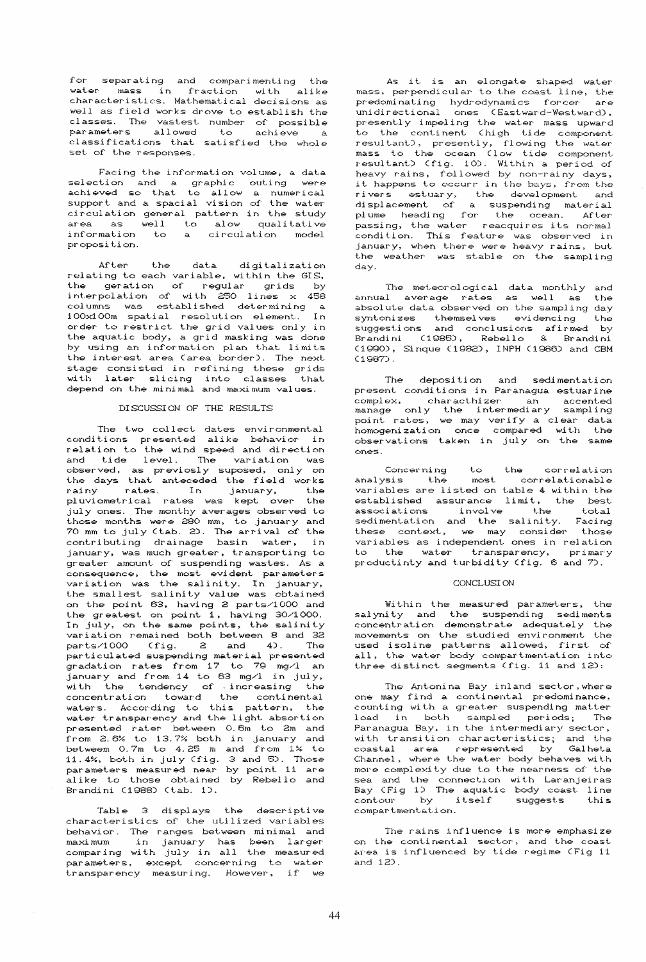for separating and comparimenting the<br>water mass in fraction with alike<br>characteristics. Mathematical decisions as well as field works drove to establish the classes. The vastest number of possible<br>parameters allowed to achieve a classifications that satisfied the whole set of the responses.

Facing the information volume, a data selection and a graphic outing were<br>achieved so that to allow a numerical<br>support and a spacial vision of the water circulation general pattern in the study area as well to alow qualitative<br>information to a circulation model proposition.

After the data digitalization<br>relating to each variable, within the GIS, the geration of regular grids by the geration of regular group  $\frac{1}{20}$ <br>interpolation of with 250 lines x 458<br>columns was established determining a<br>100x100m spatial resolution element. In<br>order to restrict the grid values only in the aquatic body, a grid masking was done by using an information plan that limits<br>the interest area (area border). The next stage consisted in refining these grids with later slicing into classes that<br>depend on the minimal and maximum values. that

# DISCUSSION OF THE RESULTS

The two collect dates environmental conditions presented alike behavior in relation to the wind speed and direction relation to the wind speed and direction<br>and tide level. The variation was<br>observed, as previosly suposed, only on<br>the days that anteceded the field works rainy rates. In january,<br>pluviometrical rates was kept over the the july ones. The monthy averages observed to those months were 280 mm, to january and<br>70 mm to july (tab. 2). The arrival of the contributing drainage basin water, in january, was much greater, transporting to<br>greater amount of suspending wastes. As a consequence, the most evident parameters variation was the salinity. In january,<br>the smallest salinity value was obtained on the point 63, having 2 parts/1000 and the greatest on point 1, having 30/1000. In july, on the same points, the salinity variation remained both between 8 and 32 parts/1000 (fig.  $2$  and  $4$ ). The particulated suspending material presented<br>gradation rates from 17 to 79 mg/l an<br>january and from 14 to 63 mg/l in july, with the tendency of increasing the concentration toward the continental<br>waters. According to this pattern, the water transparency and the light absortion presented rater between 0.6m to 2m and  $from$  2.6% to 13.7% both in january and<br>betweem 0.7m to 4.25 m and from 1% to 11.4%, both in july (fig. 3 and 5). Those parameters measured near by point 11 are<br>alike to those obtained by Rebello and Brandini (1988) (tab. 1).

Table 3 displays the descriptive characteristics of the utilized variables behavior. The ranges between minimal and maximum in january has been larger<br>comparing with july in all the measured<br>parameters, except concerning to water .<br>transparency measuring. However, if we As it is an elongate shaped water<br>mass, perpendicular to the coast line, the predominating hydrodynamics forcer are<br>unidirectional ones (Eastward-Westward), presently impeling the water mass upward<br>to the continent (high tide component resultant), presently, flowing the water mass to the ocean (low tide component<br>resultant) (fig. 10). Within a period of heavy rains, followed by non-rainy days,<br>it happens to occurr in the bays, from the rivers estuary, the development and<br>displacement of a suspending material<br>plume heading for the ocean. After passing, the water reacquires its normal condition. This feature was observed in january, when there were heavy rains, but the weather was stable on the sampling dav.

The meteorological data monthly and annual average rates as well as the absolute data observed on the sampling day syntonizes themselves evidencing the<br>suggestions and conclusions afirmed by<br>Brandini (1985), Rebello & Brandini (1990), Sinque (1982), INPH (1986) and CBM  $(1987)$ .

The deposition and sedimentation<br>present conditions in Paranagua estuarine complex, characthizer an accented<br>manage only the intermediary sampling<br>point rates, we may verify a clear data<br>homogenization once compared with the observations taken in july on the same ones

Concerning to the correlation<br>ysis the most correlationable analysis the variables are listed on table 4 within the variables are listed on table 4 within the<br>established assurance limit, the best<br>associations involve the total<br>sedimentation and the salinity. Facing<br>these context, we may consider those<br>variables as independent ones in r to the water transparency, primary<br>productinty and turbidity (fig. 6 and 7).

### CONCLUSI ON

Within the measured parameters, the salynity and the suspending sediments concentration demonstrate adequately the<br>movements on the studied environment the used isoline patterns allowed, first of all, the water body compartmentation into<br>three distinct segments (fig. 11 and 12):

The Antonina Bay inland sector, where one may find a continental predominance, counting with a greater suspending matter load in both sampled periods; The<br>Paranagua Bay, in the intermediary sector, The with transition characteristics; and the<br>coastal area represented by Galheta Channel, where the water body behaves with more complexity due to the nearness of the sea and the connection with Laranjeiras<br>Bay (Fig 1) The aquatic body coast line<br>contour by itself suggests this compartmentation.

The rains influence is more emphasize on the continental sector, and the coast<br>area is influenced by tide regime (Fig 11 and  $12$ .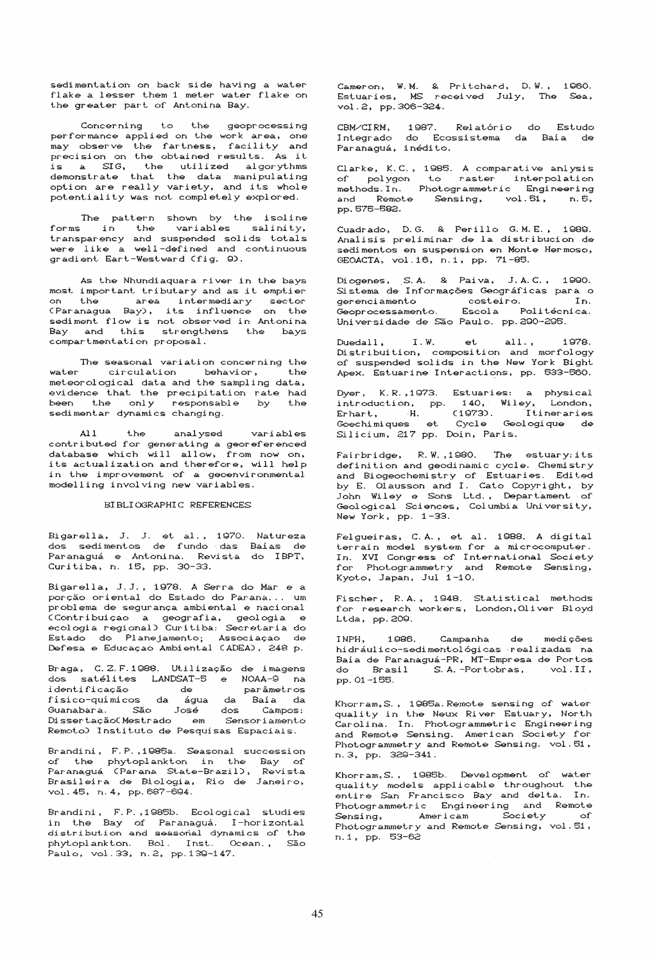sedimentation on back side having a water flake a lesser them 1 meter water flake on the greater part of Antonina Bay.

to the Concerning geoprocessing performance applied on the work area, one may observe the fartness, facility and precision on the obtained results. As it processes is a SIG, the utilized algorythms<br>demonstrate that the data manipulating<br>option are really variety, and its whole potentiality was not completely explored.

The pattern shown by the isoline<br>forms in the variables salinity,<br>transparency and suspended solids totals were like a well-defined and continuous gradient Eart-Westward (fig. 9).

As the Nhundiaquara river in the bays most important tributary and as it emptier on the area intermediary sector<br>(Paranagua Bay), its influence on the sediment flow is not observed in Antonina Bay and this strengthens the bays compartmentation proposal.

The seasonal variation concerning the water circulation behavior,  $+$  he meteorological data and the sampling data, evidence that the precipitation rate had been the only responsable by the<br>sedimentar\_dynamics\_changing.

the anal ysed variables contributed for generating a georeferenced<br>database which will allow, from now on, its actualization and therefore, will help in the improvement of a geoenvironmental modelling involving new variables.

## BIBLIOGRAPHIC REFERENCES

Bigarella, J. J. et al., 1970. Natureza<br>dos sedimentos de fundo das Baías de<br>Paranaguá e Antonina. Revista do IBPT, Curitiba, n. 15, pp. 30-33.

Bigarella, J.J., 1978. A Serra do Mar e a<br>porção oriental do Estado do Parana... um problema de segurança ambiental e nacional .<br>CContribuição a geografia, geologia e<br>ecologia regional) Curitiba: Secretaria do Estado do Planejamento; Associação de<br>Defesa e Educação Ambiental (ADEA), 248 p.

Braga, C.Z.F.1988. Utilização de imagens dos satélites LANDSAT-5 e NOAA-9 na identificação de parâmetros<br>físico-químicos da água da Baía da<br>Guanabara. São José dos Campos:<br>Dissertação<br>Chestrado em Sensoriamento parâmetros Remoto) Instituto de Pesquisas Espaciais.

Brandini, F.P., 1985a. Seasonal succession vol. 45, n. 4, pp. 687-694.

Brandini, F.P., 1985b. Ecological studies in the Bay of Paranaguá. I-horizontal<br>distribution and seasonal dynamics of the phytoplankton. Bol. Inst. Ocean., São Paulo, vol. 33, n. 2, pp. 139-147.

Cameron, W.M. & Pritchard, D.W., 1960.<br>Estuaries, MS received July, The Sea, vol.2, pp. 306-324.

CBM/CIRM, 1987. Relatório do Estudo<br>Integrado do Ecossistema da Baía de<br>Paranaguá,ínédito.

Clarke, K.C., 1985. A comparative anlysis ef polygon to raster interpolation<br>methods.In. Photogrammetric Engineering and Remote Sensing, vol.51, n.5, pp. 575-582.

Cuadrado, D.G. & Perillo G.M.E., 1989. Analisis preliminar de la distribucion de sedimentos en suspension en Monte Hermoso, GEOACTA, vol.16, n.1, pp. 71-85.

Diogenes, S.A. & Paiva, J.A.C., 1990. Sistema de Informações Geográficas para o Sistema --<br>gerenciamento costeiro.  $T_{\rm D}$ Escola Politécnica. Geoprocessamento. Universidade de São Paulo. pp. 290-295.

1978. Duedall, I.W. et all., 1978.<br>Distribuition, composition and morfology  $I. W.$ of suspended solids in the New York Bight Apex. Estuarine Interactions, pp. 533-560.

Dyer, K.R., 1973. Estuaries: a physical introduction, pp. 140, Wiley, London,<br>Erhart, H. (1973). Itineraries<br>Goechimiques et Cycle Geologique de Silicium, 217 pp. Doin, Paris.

Fairbridge, R.W., 1980. The estuary: its definition and geodinamic cycle. Chemistry and Biogeochemistry of Estuaries. Edited<br>by E. Olausson and I. Cato Copyright, by John Wiley e Sons Ltd., Departament of<br>Geological Sciences, Columbia University, New York, pp. 1-33.

Felgueiras, C.A., et al. 1988. A digital<br>terrain model system for a microcomputer. In. XVI Congress of International Society<br>for Photogrammetry and Remote Sensing, Kyoto, Japan, Jul 1-10.

Fischer, R.A., 1948. Statistical methods<br>for research workers, London, Oliver Bloyd Ltda, pp. 209.

 $1$  QRB Campanha T NPH de medicões hidráulico-sedimentológicas realizadas na Baía de Paranaguá-PR, MT-Empresa de Portos do Brasil S.A.-Portobras, vol.II, pp. 01-155.

Khorram, S., 1985a. Remote sensing of water quality in the Neux River Estuary, North Carolina. In. Photogrammetric Engineering and Remote Sensing. American Society for Photogrammetry and Remote Sensing. vol.51, n. 3, pp. 329-341.

Khorram, S., 1985b. Development of water quality models applicable throughout the entire San Francisco Bay and delta. In. Photogrammetric Engineering and Remote<br>Sensing, Americam Society of Photogrammetry and Remote Sensing, vol. 51,<br>n.1, pp. 53-62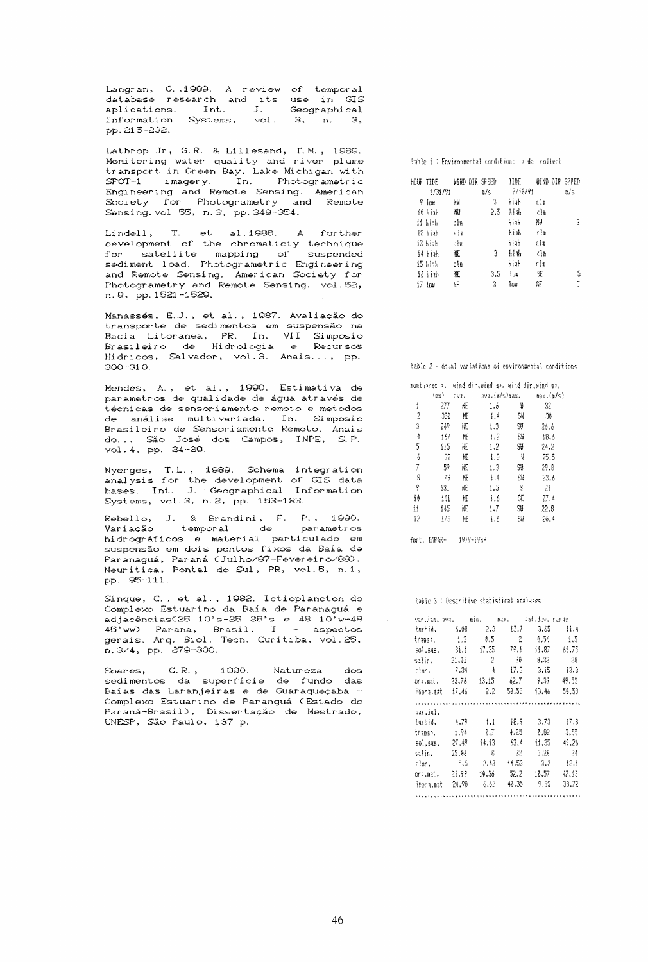Langran, G.,1989. A review of temporal<br>database research and its use in GIS<br>aplications. Int. J. Geographical<br>Information Systems, vol. 3, n. 3, pp. 215-232.

Lathrop Jr, G.R. & Lillesand, T.M., 1989.<br>Monitoring water quality and river plume<br>transport in Green Bay, Lake Michigan with  $S$ POT-1 imagery. In. Photogrametric Engineering and Remote Sensing. American Society for Photogrametry and Remote Sensing.vol 55, n. 3, pp. 349-354.

Lindell, T. et al.1986. A further<br>development of the chromaticiy technique<br>for satellite mapping of suspended  $\mathbf{T}_{\star}$ sediment load. Photogrametric Engineering<br>and Remote Sensing. American Society for Photogrametry and Remote Sensing. vol. 52, n. 9, pp. 1521-1529.

Manassés, E.J., et al., 1987. Avaliação do<br>transporte de sedimentos em suspensão na Bacia Litoranea, PR. In. VII Simposio<br>Brasileiro de Hidrología e Recursos Hidricos, Salvador, vol.3. Anais..., pp.  $300 - 310$ .

Mendes, A., et al., 1990. Estimativa de parametros de qualidade de água através de técnicas de sensoriamento remoto e metodos de análise multivariada. In. Simposio Brasileiro de Sensoriamento Remoto. Anals do... São José dos Campos, INPE, S.P. vol. 4, pp. 24-29.

Nyerges, T.L., 1989. Schema integration<br>analysis for the development of GIS data<br>bases. Int. J. Geographical Information Systems, vol. 3, n. 2, pp. 153-183.

Rebello, J. & Brandini, F. P., 1990.<br>Variação temporal de parametros parametros hidrográficos e material particulado em suspensão em dois pontos fixos da Baía de Paranaguá, Paraná (Julho/87-Fevereiro/88).<br>Neuritica, Pontal do Sul, PR, vol.5, n.1, pp. 95-111.

Sinque, C., et al., 1982. Ictioplancton do<br>Complexo Estuarino da Baía de Paranaguá e exampleso escuarino da Baia de Paranaguá e<br>adjacências(25 10's-25 35's e 48 10'w-48<br>45'ww) Parana, Brasil. I - aspectos<br>gerais. Arq. Biol. Tecn. Curitiba, vol.25, n. 3/4, pp. 279-300.

.<br>Soares, C.R., 1990. Natureza dos<br>sedimentos da superfície de fundo das Soares, Baías das Laranjeiras e de Guaraqueçaba -Complexo Estuarino de Paranguá (Estado do Paraná-Brasil), Dissertação de Mestrado, UNESP, São Paulo, 137 p.

table i: Environmental conditions in day collect

| HOUR TIDE WIND DIR SPEED<br>1/31/91 |       | 9⊿/s | TIDE<br>7/10/91 |               | WIND DIR SPPED<br>a/s |
|-------------------------------------|-------|------|-----------------|---------------|-----------------------|
| 9 Iow                               | 淅     | 3    | hiah -          | clm           |                       |
| 16 hizh                             | 灛     |      | 2.5 hiak        | $\epsilon$ in |                       |
| 11 hiab                             | cl⊪   |      | hiah            | 淅             | 3                     |
| 12 hiah                             | - 634 |      | hiah            | ាំង           |                       |
| 13 hiab                             | cle   |      | hiah            | cla           |                       |
| 14 biah                             | NЕ    | 3    | hith            | ៀង            |                       |
| 15 hiak                             | clm   |      | hizh            | εĬπ           |                       |
| 16 hiab                             | 拰     | 3.5  | 1o⊯             | SE.           | 5                     |
| 17.104                              | 眂     | 3    | lo⊌             | SE            | 5                     |

table 2 - Anual variations of environmental conditions

|    |                              |      | monthorecio, wind diriwind so, wind diriwind so, |     |           |
|----|------------------------------|------|--------------------------------------------------|-----|-----------|
|    | $\left(\frac{1}{100}\right)$ | 3V1. | ava.(m/s)max.                                    |     | max.(m/s) |
| i  | 277                          | 眂    | 1.6                                              | ¥   | 32        |
| 2  | 330                          | 娾    | 1.4                                              | S₩  | 30        |
| 3  | 249                          | 榧    | 1.3                                              | \$V | 26.6      |
| 4  | 167                          | ĦЕ   | 1.2                                              | SW  | 18.6      |
| 5  | 115                          | НE   | 1.2                                              | S₩  | 24.2      |
| 6  | -92                          | 阢    | 1.3                                              | ¥   | 25.5      |
| 7  | 59                           | 框    | £3                                               | S₩  | 29.8      |
| 8  | 79                           | KE   | 1.4                                              | SW  | 23.6      |
| ŷ  | 131                          | 雁    | 1.5                                              | -S  | 21        |
| Íθ | 161                          | ЖE   | 1.6                                              | SE  | 27.4      |
| Ħ  | 145                          | 匪    | 1.7                                              | \$  | 22.8      |
| 12 | 175                          | 肛    | 1.6                                              | SW  | 20.4      |

font, IAPAR- 1979-1989

#### table 3 : Descritive statistical analyses

| varlian, ava. |         | min.      | <b>自えどっ</b> | ≀at.dev. | rande |
|---------------|---------|-----------|-------------|----------|-------|
| turbid.       | 6.08    | - 2.3     | 13.7        | 3.45     | 11.4  |
| trans).       | - 1.3   | ŧ.5       | 2           | 0.56     | 1.5   |
| 501.585.      | - 31.1  | 17.35     | - 79.1      | (1.87)   | 61.75 |
| salin.        | - 21.01 | 2         | 30          | 8.32     | 28    |
| clor.         | - 7.34  | 4         | 17.3        | -3.15    | 43.3  |
| ora.mat.      | -23,76  | 13.15     | 62.7        | 9.39     | 49.55 |
| inora.mat     | 17.46   | 2.2       | 50.53       | 13.46    | 50.53 |
|               |         |           |             |          |       |
| var.iul.      |         |           |             |          |       |
| turbid.       | 4.79    | $\pm$ 1.1 | ${15.9}$    | 3.73     | -17.8 |
| trans».       | -1.94   | 0. T      | 4.25        | A.B2     | 3.55  |
| sol.sus.      | 27.49   | 14.13     | 63.4        | 11.35    | 49.26 |
| salin.        | 25.06   | ß         | 32          | 5.28     | 24    |
| clor.         | - 5.5   | 2.43      | 14.53       | 3.2      | 12.1  |
| ora.mat.      | 21.99   | 10.36     | 52.2        | 10.57    | 42.13 |
| inar a mart   | 24.98   | b.bl      | 40.35       | 9.35     | 33.72 |
|               |         |           |             |          |       |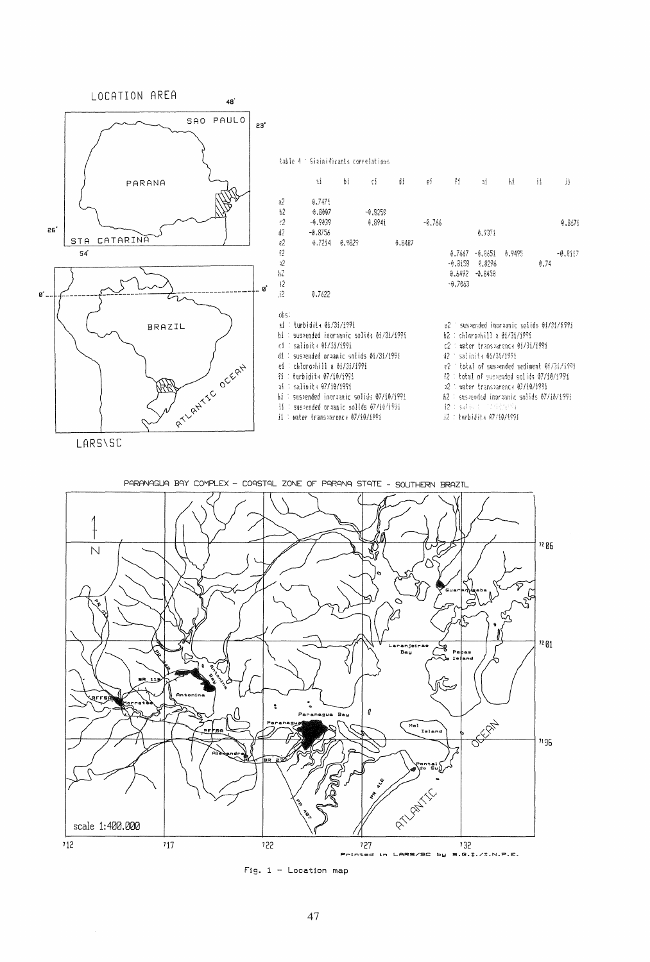

Fig.  $1 -$  Location map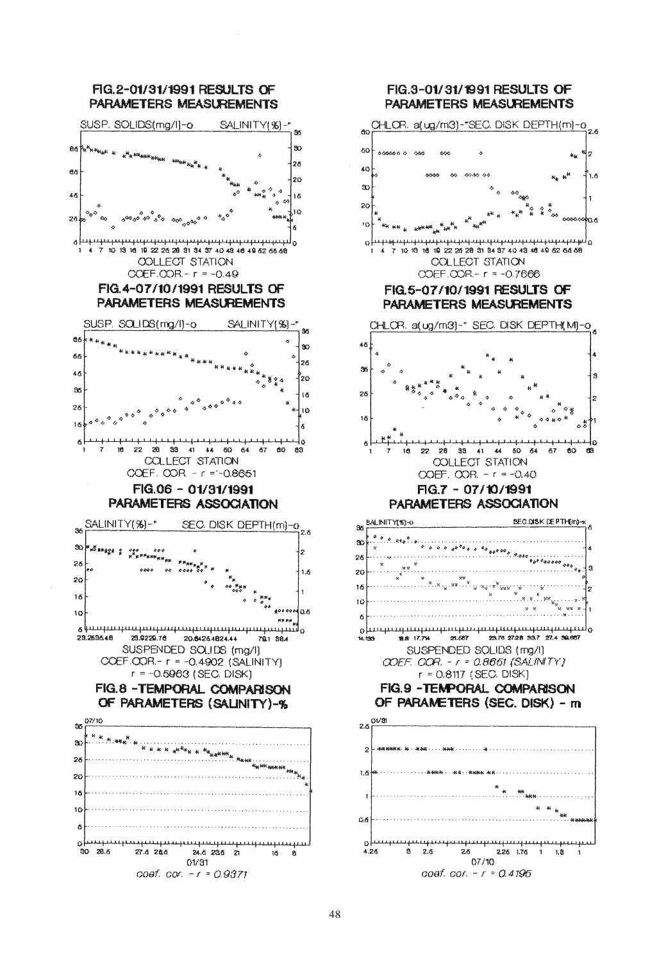